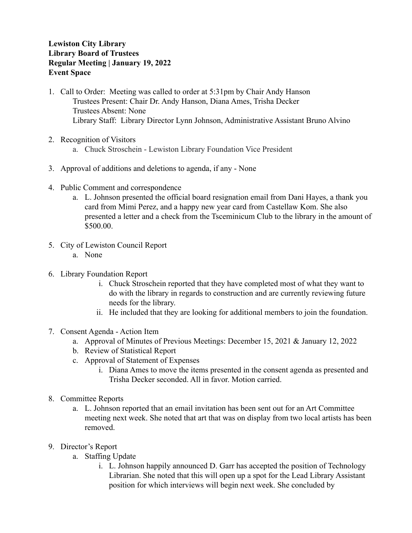## **Lewiston City Library Library Board of Trustees Regular Meeting | January 19, 2022 Event Space**

- 1. Call to Order: Meeting was called to order at 5:31pm by Chair Andy Hanson Trustees Present: Chair Dr. Andy Hanson, Diana Ames, Trisha Decker Trustees Absent: None Library Staff: Library Director Lynn Johnson, Administrative Assistant Bruno Alvino
- 2. Recognition of Visitors
	- a. Chuck Stroschein Lewiston Library Foundation Vice President
- 3. Approval of additions and deletions to agenda, if any None
- 4. Public Comment and correspondence
	- a. L. Johnson presented the official board resignation email from Dani Hayes, a thank you card from Mimi Perez, and a happy new year card from Castellaw Kom. She also presented a letter and a check from the Tsceminicum Club to the library in the amount of \$500.00.
- 5. City of Lewiston Council Report
	- a. None
- 6. Library Foundation Report
	- i. Chuck Stroschein reported that they have completed most of what they want to do with the library in regards to construction and are currently reviewing future needs for the library.
	- ii. He included that they are looking for additional members to join the foundation.
- 7. Consent Agenda Action Item
	- a. Approval of Minutes of Previous Meetings: December 15, 2021 & January 12, 2022
	- b. Review of Statistical Report
	- c. Approval of Statement of Expenses
		- i. Diana Ames to move the items presented in the consent agenda as presented and Trisha Decker seconded. All in favor. Motion carried.
- 8. Committee Reports
	- a. L. Johnson reported that an email invitation has been sent out for an Art Committee meeting next week. She noted that art that was on display from two local artists has been removed.
- 9. Director's Report
	- a. Staffing Update
		- i. L. Johnson happily announced D. Garr has accepted the position of Technology Librarian. She noted that this will open up a spot for the Lead Library Assistant position for which interviews will begin next week. She concluded by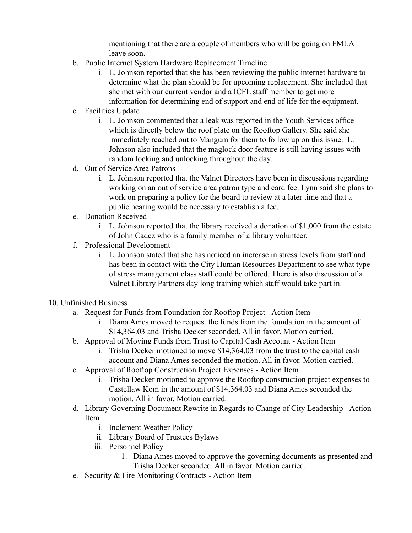mentioning that there are a couple of members who will be going on FMLA leave soon.

- b. Public Internet System Hardware Replacement Timeline
	- i. L. Johnson reported that she has been reviewing the public internet hardware to determine what the plan should be for upcoming replacement. She included that she met with our current vendor and a ICFL staff member to get more information for determining end of support and end of life for the equipment.
- c. Facilities Update
	- i. L. Johnson commented that a leak was reported in the Youth Services office which is directly below the roof plate on the Rooftop Gallery. She said she immediately reached out to Mangum for them to follow up on this issue. L. Johnson also included that the maglock door feature is still having issues with random locking and unlocking throughout the day.
- d. Out of Service Area Patrons
	- i. L. Johnson reported that the Valnet Directors have been in discussions regarding working on an out of service area patron type and card fee. Lynn said she plans to work on preparing a policy for the board to review at a later time and that a public hearing would be necessary to establish a fee.
- e. Donation Received
	- i. L. Johnson reported that the library received a donation of \$1,000 from the estate of John Cadez who is a family member of a library volunteer.
- f. Professional Development
	- i. L. Johnson stated that she has noticed an increase in stress levels from staff and has been in contact with the City Human Resources Department to see what type of stress management class staff could be offered. There is also discussion of a Valnet Library Partners day long training which staff would take part in.
- 10. Unfinished Business
	- a. Request for Funds from Foundation for Rooftop Project Action Item
		- i. Diana Ames moved to request the funds from the foundation in the amount of \$14,364.03 and Trisha Decker seconded. All in favor. Motion carried.
	- b. Approval of Moving Funds from Trust to Capital Cash Account Action Item
		- i. Trisha Decker motioned to move \$14,364.03 from the trust to the capital cash account and Diana Ames seconded the motion. All in favor. Motion carried.
	- c. Approval of Rooftop Construction Project Expenses Action Item
		- i. Trisha Decker motioned to approve the Rooftop construction project expenses to Castellaw Kom in the amount of \$14,364.03 and Diana Ames seconded the motion. All in favor. Motion carried.
	- d. Library Governing Document Rewrite in Regards to Change of City Leadership Action Item
		- i. Inclement Weather Policy
		- ii. Library Board of Trustees Bylaws
		- iii. Personnel Policy
			- 1. Diana Ames moved to approve the governing documents as presented and Trisha Decker seconded. All in favor. Motion carried.
	- e. Security & Fire Monitoring Contracts Action Item